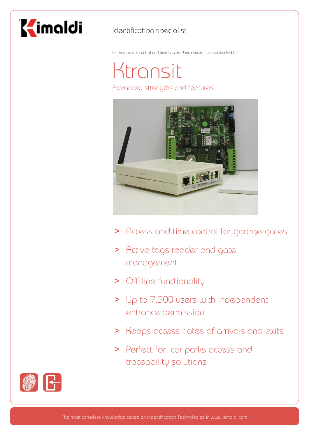

### Identification specialist

Off-line access control and time & attendance system with active RFID

## Ktransit Advanced strengths and features



- > Access and time control for garage gates
- > Active tags reader and gate management
- > Off-line functionality
- > Up to 7.500 users with independent entrance permission
- > Keeps access notes of arrivals and exits
- > Perfect for car parks access and traceability solutions